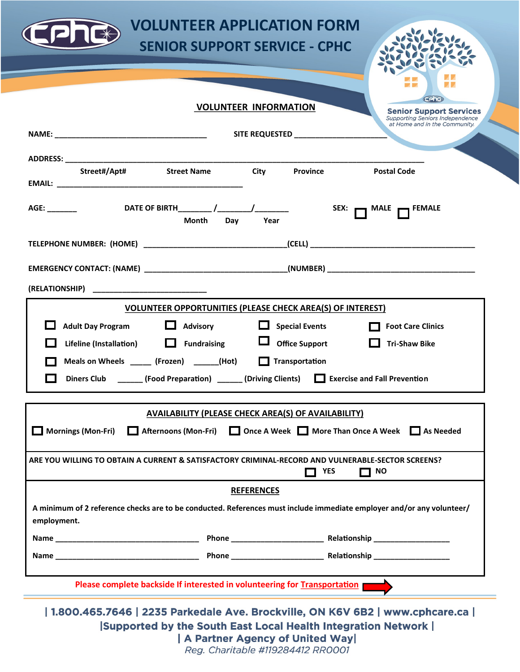

## **VOLUNTEER APPLICATION FORM SENIOR SUPPORT SERVICE - CPHC**



## **VOLUNTEER INFORMATION**

**Supporting Seniors Independence** at Home and in the Community. **NAME: \_\_\_\_\_\_\_\_\_\_\_\_\_\_\_\_\_\_\_\_\_\_\_\_\_\_\_\_\_\_\_\_\_\_\_\_ SITE REQUESTED \_\_\_\_\_\_\_\_\_\_\_\_\_\_\_\_\_\_\_\_\_\_ ADDRESS: \_\_\_\_\_\_\_\_\_\_\_\_\_\_\_\_\_\_\_\_\_\_\_\_\_\_\_\_\_\_\_\_\_\_\_\_\_\_\_\_\_\_\_\_\_\_\_\_\_\_\_\_\_\_\_\_\_\_\_\_\_\_\_\_\_\_\_\_\_\_\_\_\_\_\_\_\_\_\_\_\_\_\_\_\_ Street#/Apt# Street Name City Province Postal Code EMAIL: \_\_\_\_\_\_\_\_\_\_\_\_\_\_\_\_\_\_\_\_\_\_\_\_\_\_\_\_\_\_\_\_\_\_\_\_\_\_\_\_\_\_\_\_** AGE: \_\_\_\_\_\_\_ DATE OF BIRTH\_\_\_\_\_\_\_ /\_\_\_\_\_\_\_/\_\_\_\_\_\_\_\_\_ SEX: **\_\_\_** MALE **\_\_\_** FEMALE **1988 Month Day Year TELEPHONE NUMBER: (HOME) \_\_\_\_\_\_\_\_\_\_\_\_\_\_\_\_\_\_\_\_\_\_\_\_\_\_\_\_\_\_\_\_\_\_(CELL) \_\_\_\_\_\_\_\_\_\_\_\_\_\_\_\_\_\_\_\_\_\_\_\_\_\_\_\_\_\_\_\_\_\_\_\_\_\_\_ EMERGENCY CONTACT: (NAME) \_\_\_\_\_\_\_\_\_\_\_\_\_\_\_\_\_\_\_\_\_\_\_\_\_\_\_\_\_\_\_\_\_\_(NUMBER) \_\_\_\_\_\_\_\_\_\_\_\_\_\_\_\_\_\_\_\_\_\_\_\_\_\_\_\_\_\_\_\_\_\_\_ (RELATIONSHIP) \_\_\_\_\_\_\_\_\_\_\_\_\_\_\_\_\_\_\_\_\_\_\_\_\_\_\_ VOLUNTEER OPPORTUNITIES (PLEASE CHECK AREA(S) OF INTEREST) Adult Day Program Advisory Advisory Advisory Exercise Foot Care Clinics Research** Foot Care Clinics  **Lifeline (Installation) Fundraising Office Support Tri-Shaw Bike Meals on Wheels** \_\_\_\_\_\_ (Frozen) \_\_\_\_\_\_(Hot) Transportation **1** Diners Club \_\_\_\_\_\_ (Food Preparation) \_\_\_\_\_\_ (Driving Clients)  $\Box$  Exercise and Fall Prevention **AVAILABILITY (PLEASE CHECK AREA(S) OF AVAILABILITY) Mornings (Mon-Fri)** Afternoons (Mon-Fri) **Quality Once A Week Quality More Than Once A Week Quality As Needed ARE YOU WILLING TO OBTAIN A CURRENT & SATISFACTORY CRIMINAL-RECORD AND VULNERABLE-SECTOR SCREENS?** *D* YES **D** NO **REFERENCES A minimum of 2 reference checks are to be conducted. References must include immediate employer and/or any volunteer/ employment. Name \_\_\_\_\_\_\_\_\_\_\_\_\_\_\_\_\_\_\_\_\_\_\_\_\_\_\_\_\_\_\_\_\_\_ Phone \_\_\_\_\_\_\_\_\_\_\_\_\_\_\_\_\_\_\_\_\_\_ Relationship \_\_\_\_\_\_\_\_\_\_\_\_\_\_\_\_\_\_ Name \_\_\_\_\_\_\_\_\_\_\_\_\_\_\_\_\_\_\_\_\_\_\_\_\_\_\_\_\_\_\_\_\_\_ Phone \_\_\_\_\_\_\_\_\_\_\_\_\_\_\_\_\_\_\_\_\_\_ Relationship \_\_\_\_\_\_\_\_\_\_\_\_\_\_\_\_\_\_ Please complete backside If interested in volunteering for Transportation** 

| 1.800.465.7646 | 2235 Parkedale Ave. Brockville, ON K6V 6B2 | www.cphcare.ca | **Supported by the South East Local Health Integration Network |** | A Partner Agency of United Way|

Reg. Charitable #119284412 RR0001